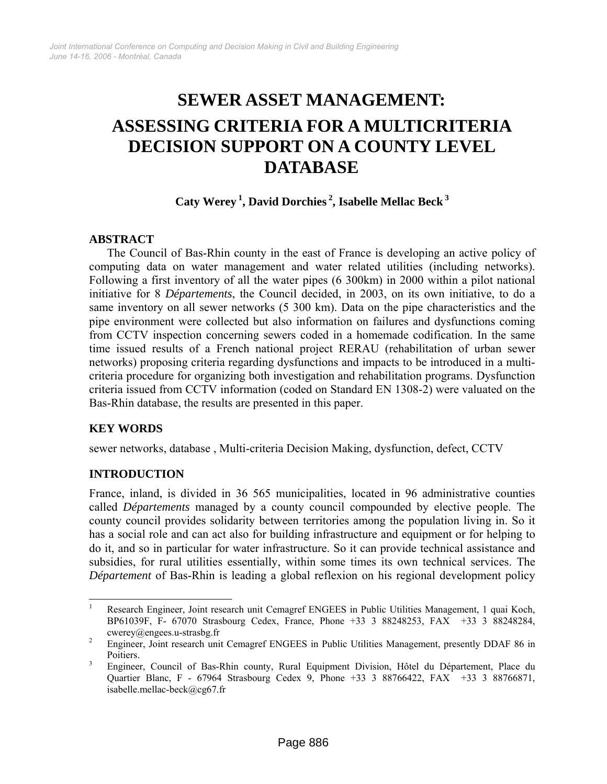# **SEWER ASSET MANAGEMENT: ASSESSING CRITERIA FOR A MULTICRITERIA DECISION SUPPORT ON A COUNTY LEVEL DATABASE**

**Caty Werey [1,](#page-0-0) David Dorchies [2,](#page-0-1) Isabelle Mellac Beck [3](#page-0-2)**

# **ABSTRACT**

The Council of Bas-Rhin county in the east of France is developing an active policy of computing data on water management and water related utilities (including networks). Following a first inventory of all the water pipes (6 300km) in 2000 within a pilot national initiative for 8 *Départements*, the Council decided, in 2003, on its own initiative, to do a same inventory on all sewer networks (5 300 km). Data on the pipe characteristics and the pipe environment were collected but also information on failures and dysfunctions coming from CCTV inspection concerning sewers coded in a homemade codification. In the same time issued results of a French national project RERAU (rehabilitation of urban sewer networks) proposing criteria regarding dysfunctions and impacts to be introduced in a multicriteria procedure for organizing both investigation and rehabilitation programs. Dysfunction criteria issued from CCTV information (coded on Standard EN 1308-2) were valuated on the Bas-Rhin database, the results are presented in this paper.

# **KEY WORDS**

sewer networks, database , Multi-criteria Decision Making, dysfunction, defect, CCTV

# **INTRODUCTION**

France, inland, is divided in 36 565 municipalities, located in 96 administrative counties called *Départements* managed by a county council compounded by elective people. The county council provides solidarity between territories among the population living in. So it has a social role and can act also for building infrastructure and equipment or for helping to do it, and so in particular for water infrastructure. So it can provide technical assistance and subsidies, for rural utilities essentially, within some times its own technical services. The *Département* of Bas-Rhin is leading a global reflexion on his regional development policy

<span id="page-0-0"></span><sup>|&</sup>lt;br>|<br>| Research Engineer, Joint research unit Cemagref ENGEES in Public Utilities Management, 1 quai Koch, BP61039F, F- 67070 Strasbourg Cedex, France, Phone +33 3 88248253, FAX +33 3 88248284,  $cwerey@engees.u-strasbg.fr$ <br>  $\frac{2}{2}$  Engineer Joint research uni

<span id="page-0-1"></span>Engineer, Joint research unit Cemagref ENGEES in Public Utilities Management, presently DDAF 86 in Poitiers.

<span id="page-0-2"></span>Engineer, Council of Bas-Rhin county, Rural Equipment Division, Hôtel du Département, Place du Quartier Blanc, F - 67964 Strasbourg Cedex 9, Phone +33 3 88766422, FAX +33 3 88766871, isabelle.mellac-beck@cg67.fr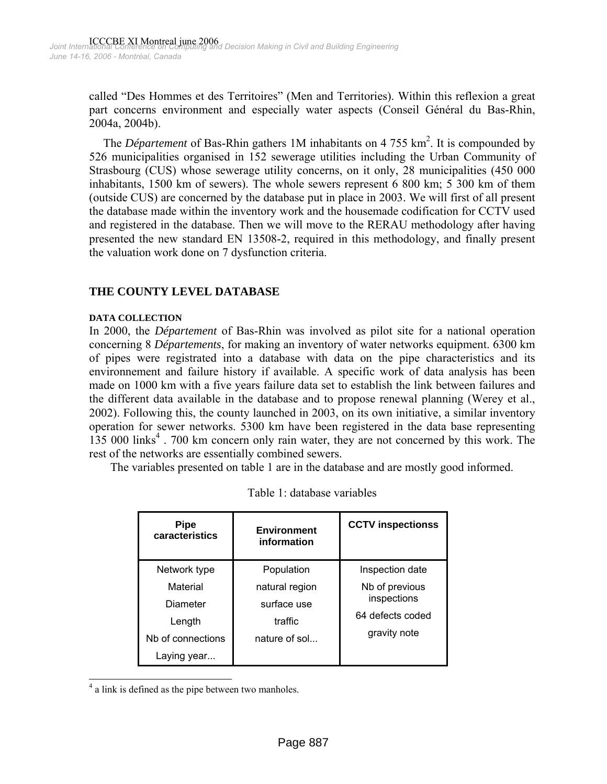called "Des Hommes et des Territoires" (Men and Territories). Within this reflexion a great part concerns environment and especially water aspects (Conseil Général du Bas-Rhin, 2004a, 2004b).

The *Département* of Bas-Rhin gathers 1M inhabitants on 4 755  $km<sup>2</sup>$ . It is compounded by 526 municipalities organised in 152 sewerage utilities including the Urban Community of Strasbourg (CUS) whose sewerage utility concerns, on it only, 28 municipalities (450 000 inhabitants, 1500 km of sewers). The whole sewers represent 6 800 km; 5 300 km of them (outside CUS) are concerned by the database put in place in 2003. We will first of all present the database made within the inventory work and the housemade codification for CCTV used and registered in the database. Then we will move to the RERAU methodology after having presented the new standard EN 13508-2, required in this methodology, and finally present the valuation work done on 7 dysfunction criteria.

## **THE COUNTY LEVEL DATABASE**

#### **DATA COLLECTION**

In 2000, the *Département* of Bas-Rhin was involved as pilot site for a national operation concerning 8 *Départements*, for making an inventory of water networks equipment. 6300 km of pipes were registrated into a database with data on the pipe characteristics and its environnement and failure history if available. A specific work of data analysis has been made on 1000 km with a five years failure data set to establish the link between failures and the different data available in the database and to propose renewal planning (Werey et al., 2002). Following this, the county launched in 2003, on its own initiative, a similar inventory operation for sewer networks. 5300 km have been registered in the data base representing 135 000 links<sup>[4](#page-1-0)</sup>. 700 km concern only rain water, they are not concerned by this work. The rest of the networks are essentially combined sewers.

The variables presented on table 1 are in the database and are mostly good informed.

| <b>Pipe</b><br>caracteristics | <b>Environment</b><br>information | <b>CCTV inspectionss</b> |  |  |
|-------------------------------|-----------------------------------|--------------------------|--|--|
| Network type                  | Population                        | Inspection date          |  |  |
| Material                      | natural region                    | Nb of previous           |  |  |
| Diameter                      | surface use                       | inspections              |  |  |
| Length                        | traffic                           | 64 defects coded         |  |  |
| Nb of connections             | nature of sol                     | gravity note             |  |  |
| Laying year                   |                                   |                          |  |  |

Table 1: database variables

<span id="page-1-0"></span> $\frac{1}{4}$  $4$  a link is defined as the pipe between two manholes.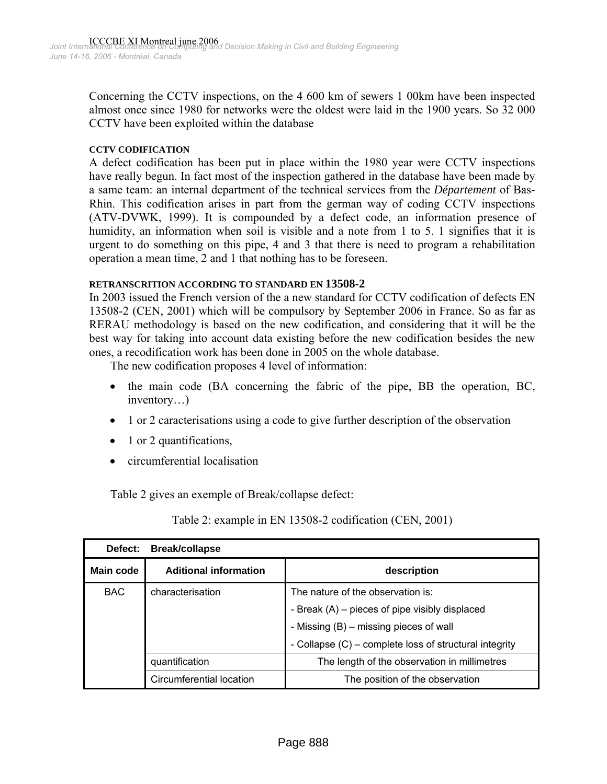Concerning the CCTV inspections, on the 4 600 km of sewers 1 00km have been inspected almost once since 1980 for networks were the oldest were laid in the 1900 years. So 32 000 CCTV have been exploited within the database

#### **CCTV CODIFICATION**

A defect codification has been put in place within the 1980 year were CCTV inspections have really begun. In fact most of the inspection gathered in the database have been made by a same team: an internal department of the technical services from the *Département* of Bas-Rhin. This codification arises in part from the german way of coding CCTV inspections (ATV-DVWK, 1999). It is compounded by a defect code, an information presence of humidity, an information when soil is visible and a note from 1 to 5. 1 signifies that it is urgent to do something on this pipe, 4 and 3 that there is need to program a rehabilitation operation a mean time, 2 and 1 that nothing has to be foreseen.

#### **RETRANSCRITION ACCORDING TO STANDARD EN 13508-2**

In 2003 issued the French version of the a new standard for CCTV codification of defects EN 13508-2 (CEN, 2001) which will be compulsory by September 2006 in France. So as far as RERAU methodology is based on the new codification, and considering that it will be the best way for taking into account data existing before the new codification besides the new ones, a recodification work has been done in 2005 on the whole database.

The new codification proposes 4 level of information:

- the main code (BA concerning the fabric of the pipe, BB the operation, BC, inventory…)
- 1 or 2 caracterisations using a code to give further description of the observation
- 1 or 2 quantifications,
- circumferential localisation

Table 2 gives an exemple of Break/collapse defect:

Table 2: example in EN 13508-2 codification (CEN, 2001)

| Defect:   | <b>Break/collapse</b>                       |                                                        |  |  |  |  |  |
|-----------|---------------------------------------------|--------------------------------------------------------|--|--|--|--|--|
| Main code | <b>Aditional information</b><br>description |                                                        |  |  |  |  |  |
| BAC.      | characterisation                            | The nature of the observation is:                      |  |  |  |  |  |
|           |                                             | - Break (A) – pieces of pipe visibly displaced         |  |  |  |  |  |
|           |                                             | - Missing (B) – missing pieces of wall                 |  |  |  |  |  |
|           |                                             | - Collapse (C) – complete loss of structural integrity |  |  |  |  |  |
|           | quantification                              | The length of the observation in millimetres           |  |  |  |  |  |
|           | Circumferential location                    | The position of the observation                        |  |  |  |  |  |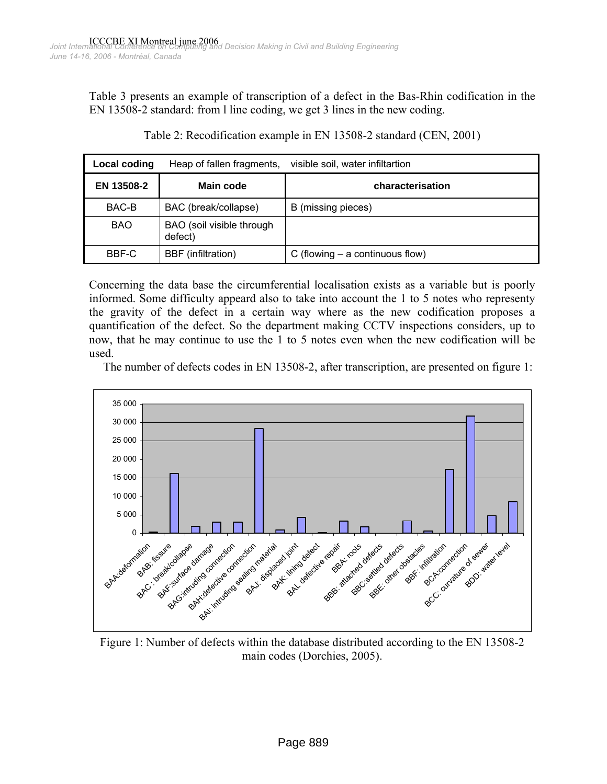Table 3 presents an example of transcription of a defect in the Bas-Rhin codification in the EN 13508-2 standard: from l line coding, we get 3 lines in the new coding.

| Local coding | Heap of fallen fragments,            | visible soil, water infiltartion  |
|--------------|--------------------------------------|-----------------------------------|
| EN 13508-2   | Main code                            | characterisation                  |
| BAC-B        | BAC (break/collapse)                 | B (missing pieces)                |
| <b>BAO</b>   | BAO (soil visible through<br>defect) |                                   |
| BBF-C        | BBF (infiltration)                   | C (flowing $-$ a continuous flow) |

Table 2: Recodification example in EN 13508-2 standard (CEN, 2001)

Concerning the data base the circumferential localisation exists as a variable but is poorly informed. Some difficulty appeard also to take into account the 1 to 5 notes who representy the gravity of the defect in a certain way where as the new codification proposes a quantification of the defect. So the department making CCTV inspections considers, up to now, that he may continue to use the 1 to 5 notes even when the new codification will be used.

The number of defects codes in EN 13508-2, after transcription, are presented on figure 1:



Figure 1: Number of defects within the database distributed according to the EN 13508-2 main codes (Dorchies, 2005).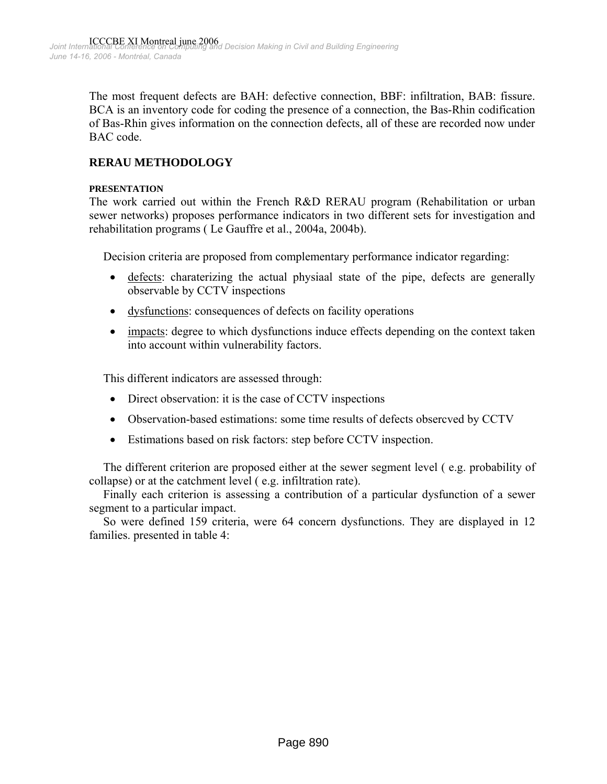The most frequent defects are BAH: defective connection, BBF: infiltration, BAB: fissure. BCA is an inventory code for coding the presence of a connection, the Bas-Rhin codification of Bas-Rhin gives information on the connection defects, all of these are recorded now under BAC code.

# **RERAU METHODOLOGY**

#### **PRESENTATION**

The work carried out within the French R&D RERAU program (Rehabilitation or urban sewer networks) proposes performance indicators in two different sets for investigation and rehabilitation programs ( Le Gauffre et al., 2004a, 2004b).

Decision criteria are proposed from complementary performance indicator regarding:

- defects: charaterizing the actual physiaal state of the pipe, defects are generally observable by CCTV inspections
- dysfunctions: consequences of defects on facility operations
- impacts: degree to which dysfunctions induce effects depending on the context taken into account within vulnerability factors.

This different indicators are assessed through:

- Direct observation: it is the case of CCTV inspections
- Observation-based estimations: some time results of defects obsercved by CCTV
- Estimations based on risk factors: step before CCTV inspection.

The different criterion are proposed either at the sewer segment level ( e.g. probability of collapse) or at the catchment level ( e.g. infiltration rate).

Finally each criterion is assessing a contribution of a particular dysfunction of a sewer segment to a particular impact.

So were defined 159 criteria, were 64 concern dysfunctions. They are displayed in 12 families. presented in table 4: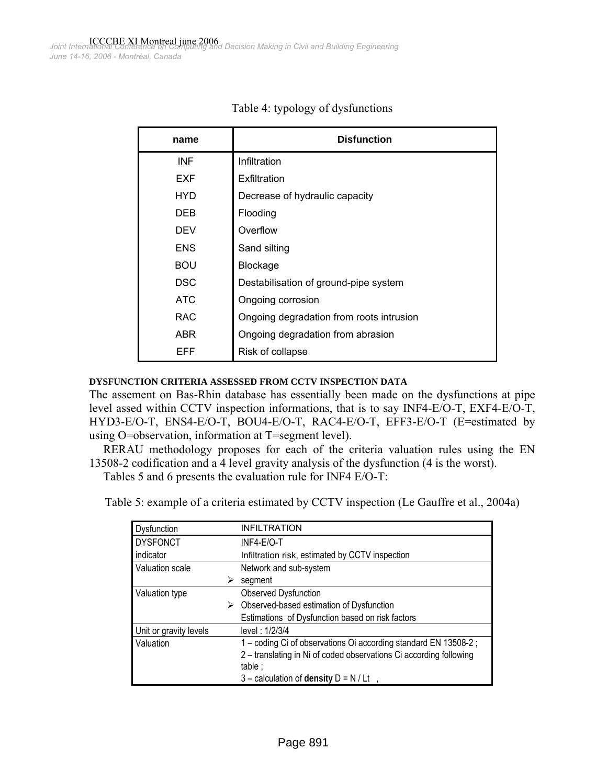| name       | <b>Disfunction</b>                       |
|------------|------------------------------------------|
| <b>INF</b> | Infiltration                             |
| <b>EXF</b> | Exfiltration                             |
| HYD        | Decrease of hydraulic capacity           |
| DEB        | Flooding                                 |
| DEV        | Overflow                                 |
| <b>ENS</b> | Sand silting                             |
| <b>BOU</b> | Blockage                                 |
| <b>DSC</b> | Destabilisation of ground-pipe system    |
| ATC        | Ongoing corrosion                        |
| <b>RAC</b> | Ongoing degradation from roots intrusion |
| ABR        | Ongoing degradation from abrasion        |
| EFF        | Risk of collapse                         |

|  | Table 4: typology of dysfunctions |
|--|-----------------------------------|
|--|-----------------------------------|

#### **DYSFUNCTION CRITERIA ASSESSED FROM CCTV INSPECTION DATA**

The assement on Bas-Rhin database has essentially been made on the dysfunctions at pipe level assed within CCTV inspection informations, that is to say INF4-E/O-T, EXF4-E/O-T, HYD3-E/O-T, ENS4-E/O-T, BOU4-E/O-T, RAC4-E/O-T, EFF3-E/O-T (E=estimated by using O=observation, information at T=segment level).

RERAU methodology proposes for each of the criteria valuation rules using the EN 13508-2 codification and a 4 level gravity analysis of the dysfunction (4 is the worst).

Tables 5 and 6 presents the evaluation rule for INF4 E/O-T:

Table 5: example of a criteria estimated by CCTV inspection (Le Gauffre et al., 2004a)

| Dysfunction            |   | <b>INFILTRATION</b>                                                |
|------------------------|---|--------------------------------------------------------------------|
| <b>DYSFONCT</b>        |   | INF4-E/O-T                                                         |
| indicator              |   | Infiltration risk, estimated by CCTV inspection                    |
| Valuation scale        |   | Network and sub-system                                             |
|                        | ⋗ | segment                                                            |
| Valuation type         |   | <b>Observed Dysfunction</b>                                        |
|                        | ⋗ | Observed-based estimation of Dysfunction                           |
|                        |   | Estimations of Dysfunction based on risk factors                   |
| Unit or gravity levels |   | level: 1/2/3/4                                                     |
| Valuation              |   | 1 – coding Ci of observations Oi according standard EN 13508-2;    |
|                        |   | 2 - translating in Ni of coded observations Ci according following |
|                        |   | table;                                                             |
|                        |   | $3$ – calculation of density $D = N / Lt$                          |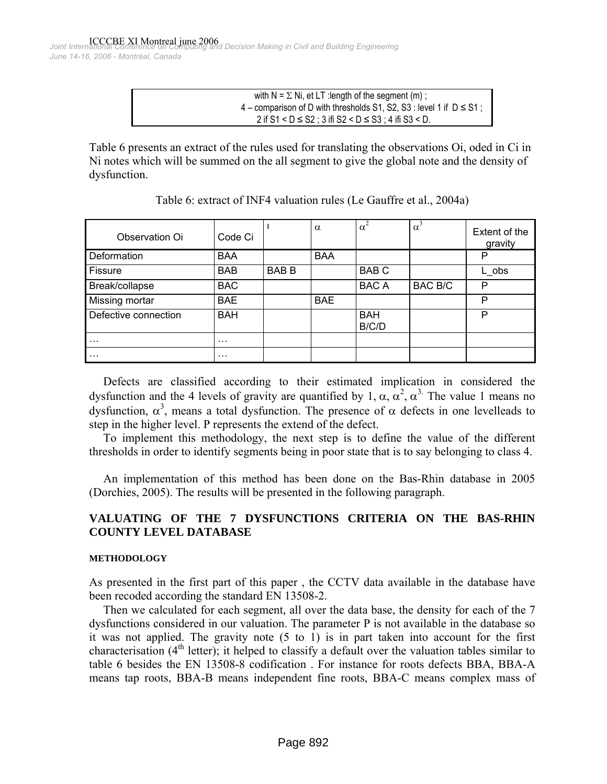ICCCBE XI Montreal june 2006 *Joint International Conference on Computing and Decision Making in Civil and Building Engineering June 14-16, 2006 - Montréal, Canada*

> with  $N = \Sigma Ni$ , et LT : length of the segment (m);  $4$  – comparison of D with thresholds S1, S2, S3 : level 1 if  $D \leq S1$ ; 2 if S1 < D ≤ S2 ; 3 ifi S2 < D ≤ S3 ; 4 ifi S3 < D.

Table 6 presents an extract of the rules used for translating the observations Oi, oded in Ci in Ni notes which will be summed on the all segment to give the global note and the density of dysfunction.

| Observation Oi       | Code Ci    |             | $\alpha$   | $\alpha^2$          | $\alpha^3$     | Extent of the<br>gravity |
|----------------------|------------|-------------|------------|---------------------|----------------|--------------------------|
| Deformation          | <b>BAA</b> |             | <b>BAA</b> |                     |                | P                        |
| Fissure              | <b>BAB</b> | <b>BABB</b> |            | <b>BABC</b>         |                | L obs                    |
| Break/collapse       | <b>BAC</b> |             |            | <b>BACA</b>         | <b>BAC B/C</b> | P                        |
| Missing mortar       | <b>BAE</b> |             | <b>BAE</b> |                     |                | P                        |
| Defective connection | <b>BAH</b> |             |            | <b>BAH</b><br>B/C/D |                | P                        |
| $\cdots$             | .          |             |            |                     |                |                          |
| $\cdots$             | $\cdots$   |             |            |                     |                |                          |

| Table 6: extract of INF4 valuation rules (Le Gauffre et al., 2004a) |  |  |
|---------------------------------------------------------------------|--|--|
|---------------------------------------------------------------------|--|--|

Defects are classified according to their estimated implication in considered the dysfunction and the 4 levels of gravity are quantified by 1,  $\alpha$ ,  $\alpha^2$ ,  $\alpha^3$ . The value 1 means no dysfunction,  $\alpha^3$ , means a total dysfunction. The presence of  $\alpha$  defects in one levelleads to step in the higher level. P represents the extend of the defect.

To implement this methodology, the next step is to define the value of the different thresholds in order to identify segments being in poor state that is to say belonging to class 4.

An implementation of this method has been done on the Bas-Rhin database in 2005 (Dorchies, 2005). The results will be presented in the following paragraph.

# **VALUATING OF THE 7 DYSFUNCTIONS CRITERIA ON THE BAS-RHIN COUNTY LEVEL DATABASE**

## **METHODOLOGY**

As presented in the first part of this paper , the CCTV data available in the database have been recoded according the standard EN 13508-2.

Then we calculated for each segment, all over the data base, the density for each of the 7 dysfunctions considered in our valuation. The parameter P is not available in the database so it was not applied. The gravity note (5 to 1) is in part taken into account for the first characterisation  $(4<sup>th</sup>$  letter); it helped to classify a default over the valuation tables similar to table 6 besides the EN 13508-8 codification . For instance for roots defects BBA, BBA-A means tap roots, BBA-B means independent fine roots, BBA-C means complex mass of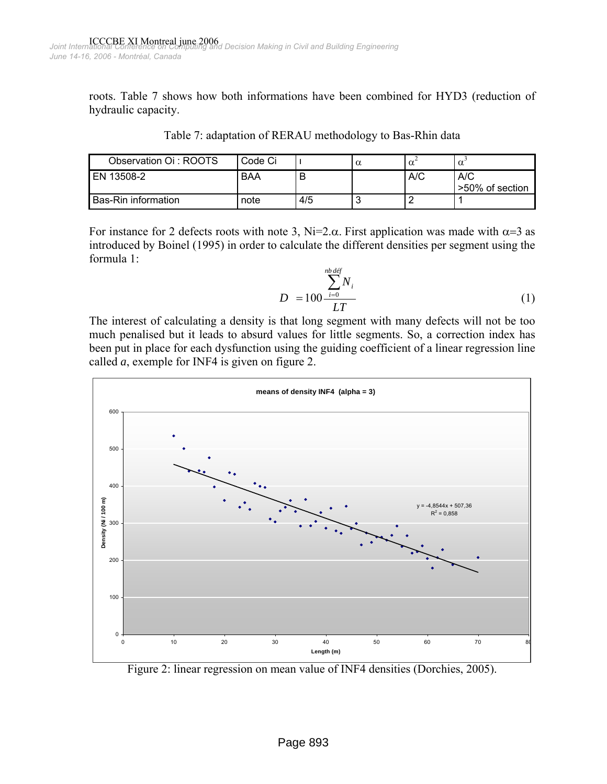roots. Table 7 shows how both informations have been combined for HYD3 (reduction of hydraulic capacity.

| Observation Oi: ROOTS      | Code Ci |     | u | α   | $\alpha$                 |
|----------------------------|---------|-----|---|-----|--------------------------|
| EN 13508-2                 | BAA     |     |   | A/C | A/C<br>l >50% of section |
| <b>Bas-Rin information</b> | note    | 4/5 |   |     |                          |

Table 7: adaptation of RERAU methodology to Bas-Rhin data

For instance for 2 defects roots with note 3, Ni=2. $\alpha$ . First application was made with  $\alpha$ =3 as introduced by Boinel (1995) in order to calculate the different densities per segment using the formula 1:

$$
D = 100 \frac{\sum_{i=0}^{n\ b \, \text{def}} N_i}{LT} \tag{1}
$$

The interest of calculating a density is that long segment with many defects will not be too much penalised but it leads to absurd values for little segments. So, a correction index has been put in place for each dysfunction using the guiding coefficient of a linear regression line called *a*, exemple for INF4 is given on figure 2.



Figure 2: linear regression on mean value of INF4 densities (Dorchies, 2005).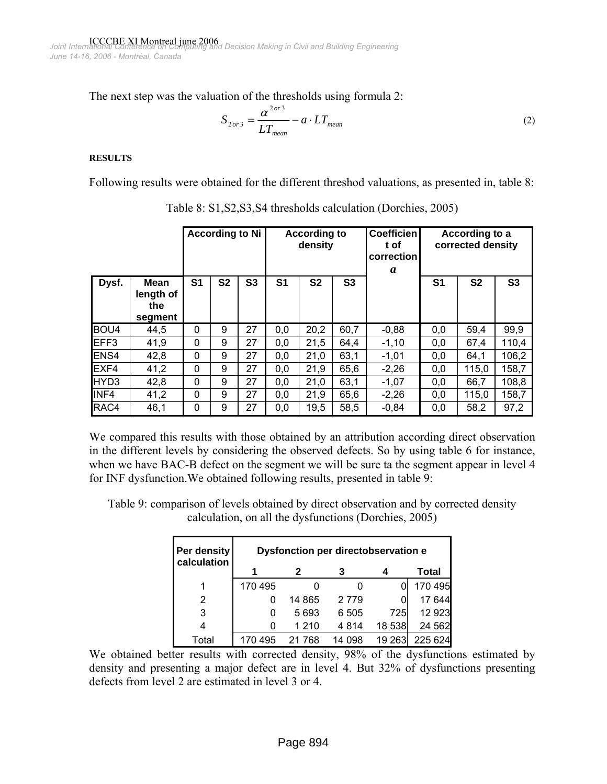The next step was the valuation of the thresholds using formula 2:

$$
S_{2or3} = \frac{\alpha^{2or3}}{LT_{mean}} - a \cdot LT_{mean}
$$
 (2)

#### **RESULTS**

Following results were obtained for the different threshod valuations, as presented in, table 8:

|                  |                                     |                |                | <b>According to Ni</b> |                | <b>According to</b><br>density |                | <b>Coefficien</b><br>t of<br>correction<br>a |                | According to a<br>corrected density |                |
|------------------|-------------------------------------|----------------|----------------|------------------------|----------------|--------------------------------|----------------|----------------------------------------------|----------------|-------------------------------------|----------------|
| Dysf.            | Mean<br>length of<br>the<br>segment | S <sub>1</sub> | S <sub>2</sub> | S <sub>3</sub>         | S <sub>1</sub> | S <sub>2</sub>                 | S <sub>3</sub> |                                              | S <sub>1</sub> | S <sub>2</sub>                      | S <sub>3</sub> |
| BOU <sub>4</sub> | 44,5                                | $\Omega$       | 9              | 27                     | 0,0            | 20,2                           | 60,7           | $-0,88$                                      | 0,0            | 59,4                                | 99,9           |
| EFF3             | 41,9                                | $\Omega$       | 9              | 27                     | 0,0            | 21,5                           | 64,4           | $-1,10$                                      | 0,0            | 67,4                                | 110,4          |
| ENS4             | 42,8                                | 0              | 9              | 27                     | 0,0            | 21,0                           | 63,1           | $-1,01$                                      | 0,0            | 64,1                                | 106,2          |
| EXF4             | 41,2                                | $\Omega$       | 9              | 27                     | 0,0            | 21,9                           | 65,6           | $-2,26$                                      | 0,0            | 115,0                               | 158,7          |
| HYD3             | 42,8                                | 0              | 9              | 27                     | 0,0            | 21,0                           | 63,1           | $-1,07$                                      | 0,0            | 66,7                                | 108,8          |
| INF4             | 41,2                                | 0              | 9              | 27                     | 0,0            | 21,9                           | 65,6           | $-2,26$                                      | 0,0            | 115,0                               | 158,7          |
| RAC4             | 46,1                                | 0              | 9              | 27                     | 0,0            | 19,5                           | 58,5           | $-0.84$                                      | 0,0            | 58,2                                | 97,2           |

Table 8: S1,S2,S3,S4 thresholds calculation (Dorchies, 2005)

We compared this results with those obtained by an attribution according direct observation in the different levels by considering the observed defects. So by using table 6 for instance, when we have BAC-B defect on the segment we will be sure ta the segment appear in level 4 for INF dysfunction.We obtained following results, presented in table 9:

Table 9: comparison of levels obtained by direct observation and by corrected density calculation, on all the dysfunctions (Dorchies, 2005)

| Per density<br>calculation | Dysfonction per directobservation e |         |         |        |         |  |  |  |  |
|----------------------------|-------------------------------------|---------|---------|--------|---------|--|--|--|--|
|                            |                                     | 2       | 3       |        | Total   |  |  |  |  |
|                            | 170 495                             |         |         |        | 170 495 |  |  |  |  |
| 2                          | 0                                   | 14 865  | 2 7 7 9 |        | 17 644  |  |  |  |  |
| 3                          |                                     | 5693    | 6 505   | 725    | 12 9 23 |  |  |  |  |
| 4                          |                                     | 1 2 1 0 | 4 8 1 4 | 18 538 | 24 562  |  |  |  |  |
| Total                      | 170 495                             | 21 768  | 14 098  | 19 263 | 225 624 |  |  |  |  |

We obtained better results with corrected density, 98% of the dysfunctions estimated by density and presenting a major defect are in level 4. But 32% of dysfunctions presenting defects from level 2 are estimated in level 3 or 4.